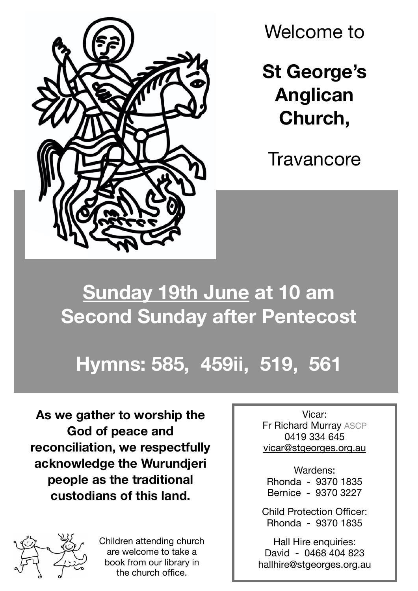

Welcome to

**St George's Anglican Church,**

**Travancore** 

## **Sunday 19th June at 10 am Second Sunday after Pentecost**

## **Hymns: 585, 459ii, 519, 561**

**As we gather to worship the God of peace and reconciliation, we respectfully acknowledge the Wurundjeri people as the traditional custodians of this land.**



Children attending church are welcome to take a book from our library in the church office.

Vicar: Fr Richard Murray ASCP 0419 334 645 [vicar@stgeorges.org.au](mailto:vicar@stgeorges.org.au)

Wardens: Rhonda - 9370 1835 Bernice - 9370 3227

Child Protection Officer: Rhonda - 9370 1835

Hall Hire enquiries: David - 0468 404 823 hallhire@stgeorges.org.au